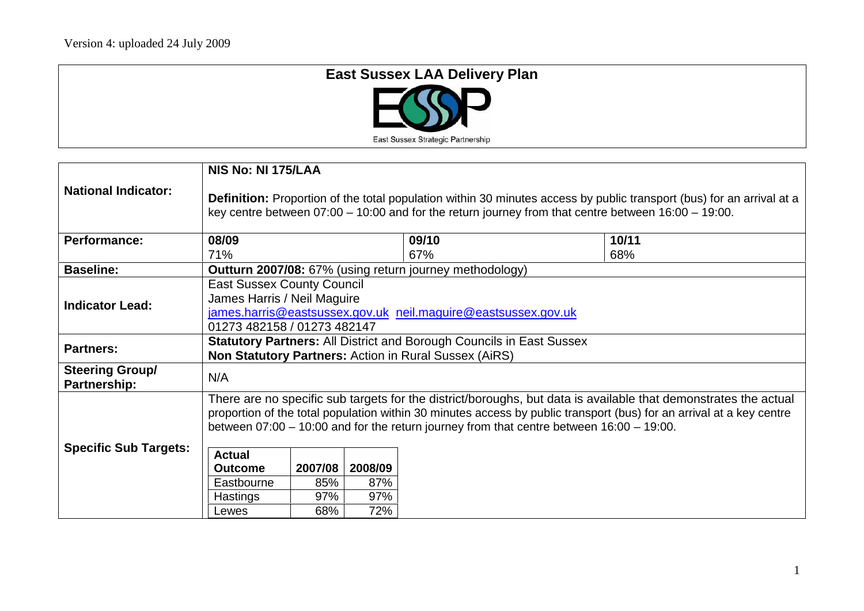| <b>East Sussex LAA Delivery Plan</b> |
|--------------------------------------|
| $\Box$ (ND                           |
| East Sussex Strategic Partnership    |

|                                        | NIS No: NI 175/LAA                                                                                                                                                                                                                                                                                                                                                                                |     |     |                                                                |     |  |
|----------------------------------------|---------------------------------------------------------------------------------------------------------------------------------------------------------------------------------------------------------------------------------------------------------------------------------------------------------------------------------------------------------------------------------------------------|-----|-----|----------------------------------------------------------------|-----|--|
| <b>National Indicator:</b>             | <b>Definition:</b> Proportion of the total population within 30 minutes access by public transport (bus) for an arrival at a<br>key centre between $07:00 - 10:00$ and for the return journey from that centre between $16:00 - 19:00$ .                                                                                                                                                          |     |     |                                                                |     |  |
| <b>Performance:</b>                    | 08/09<br>10/11<br>09/10                                                                                                                                                                                                                                                                                                                                                                           |     |     |                                                                |     |  |
|                                        | 71%                                                                                                                                                                                                                                                                                                                                                                                               |     |     | 67%                                                            | 68% |  |
| <b>Baseline:</b>                       |                                                                                                                                                                                                                                                                                                                                                                                                   |     |     | <b>Outturn 2007/08:</b> 67% (using return journey methodology) |     |  |
| <b>Indicator Lead:</b>                 | <b>East Sussex County Council</b><br>James Harris / Neil Maguire<br>james.harris@eastsussex.gov.uk neil.maguire@eastsussex.gov.uk<br>01273 482158 / 01273 482147                                                                                                                                                                                                                                  |     |     |                                                                |     |  |
| <b>Partners:</b>                       | <b>Statutory Partners: All District and Borough Councils in East Sussex</b><br><b>Non Statutory Partners: Action in Rural Sussex (AiRS)</b>                                                                                                                                                                                                                                                       |     |     |                                                                |     |  |
| <b>Steering Group/</b><br>Partnership: | N/A                                                                                                                                                                                                                                                                                                                                                                                               |     |     |                                                                |     |  |
| <b>Specific Sub Targets:</b>           | There are no specific sub targets for the district/boroughs, but data is available that demonstrates the actual<br>proportion of the total population within 30 minutes access by public transport (bus) for an arrival at a key centre<br>between $07:00 - 10:00$ and for the return journey from that centre between $16:00 - 19:00$ .<br><b>Actual</b><br>2007/08<br>2008/09<br><b>Outcome</b> |     |     |                                                                |     |  |
|                                        | Eastbourne                                                                                                                                                                                                                                                                                                                                                                                        | 85% | 87% |                                                                |     |  |
|                                        | Hastings                                                                                                                                                                                                                                                                                                                                                                                          | 97% | 97% |                                                                |     |  |
|                                        | Lewes                                                                                                                                                                                                                                                                                                                                                                                             | 68% | 72% |                                                                |     |  |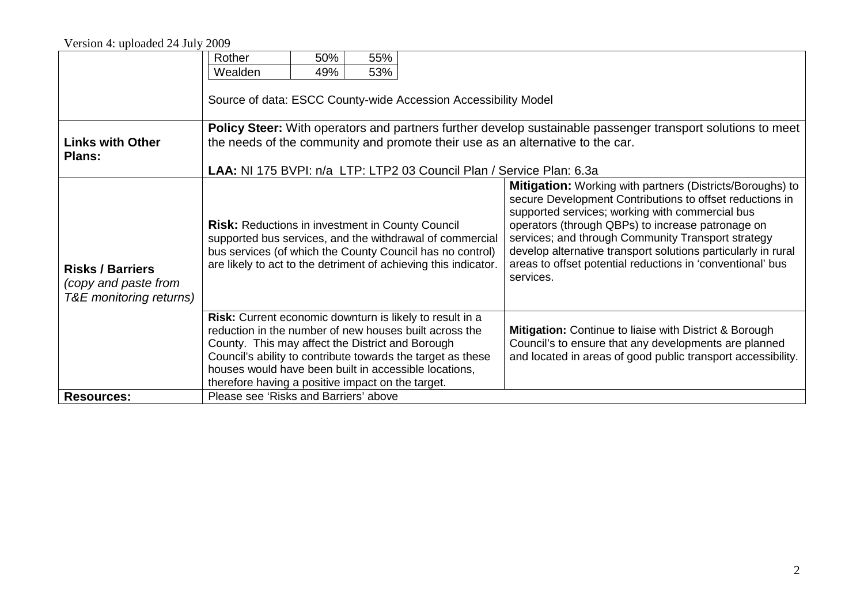## Version 4: uploaded 24 July 2009

|                                                                                                                                                                                                                                                                                                                                                     | Rother                                                                                                                                                                                                                                                                       | 50% | 55% |  |                                                                                                                                                                                                                                                                                                                                                                                                                                        |  |  |  |  |
|-----------------------------------------------------------------------------------------------------------------------------------------------------------------------------------------------------------------------------------------------------------------------------------------------------------------------------------------------------|------------------------------------------------------------------------------------------------------------------------------------------------------------------------------------------------------------------------------------------------------------------------------|-----|-----|--|----------------------------------------------------------------------------------------------------------------------------------------------------------------------------------------------------------------------------------------------------------------------------------------------------------------------------------------------------------------------------------------------------------------------------------------|--|--|--|--|
|                                                                                                                                                                                                                                                                                                                                                     | Wealden                                                                                                                                                                                                                                                                      | 49% | 53% |  |                                                                                                                                                                                                                                                                                                                                                                                                                                        |  |  |  |  |
|                                                                                                                                                                                                                                                                                                                                                     | Source of data: ESCC County-wide Accession Accessibility Model                                                                                                                                                                                                               |     |     |  |                                                                                                                                                                                                                                                                                                                                                                                                                                        |  |  |  |  |
| <b>Links with Other</b><br>Plans:                                                                                                                                                                                                                                                                                                                   | <b>Policy Steer:</b> With operators and partners further develop sustainable passenger transport solutions to meet<br>the needs of the community and promote their use as an alternative to the car.<br>LAA: NI 175 BVPI: n/a LTP: LTP2 03 Council Plan / Service Plan: 6.3a |     |     |  |                                                                                                                                                                                                                                                                                                                                                                                                                                        |  |  |  |  |
| <b>Risks / Barriers</b><br>(copy and paste from<br>T&E monitoring returns)                                                                                                                                                                                                                                                                          | <b>Risk:</b> Reductions in investment in County Council<br>supported bus services, and the withdrawal of commercial<br>bus services (of which the County Council has no control)<br>are likely to act to the detriment of achieving this indicator.                          |     |     |  | <b>Mitigation:</b> Working with partners (Districts/Boroughs) to<br>secure Development Contributions to offset reductions in<br>supported services; working with commercial bus<br>operators (through QBPs) to increase patronage on<br>services; and through Community Transport strategy<br>develop alternative transport solutions particularly in rural<br>areas to offset potential reductions in 'conventional' bus<br>services. |  |  |  |  |
| Risk: Current economic downturn is likely to result in a<br>reduction in the number of new houses built across the<br>County. This may affect the District and Borough<br>Council's ability to contribute towards the target as these<br>houses would have been built in accessible locations,<br>therefore having a positive impact on the target. |                                                                                                                                                                                                                                                                              |     |     |  | Mitigation: Continue to liaise with District & Borough<br>Council's to ensure that any developments are planned<br>and located in areas of good public transport accessibility.                                                                                                                                                                                                                                                        |  |  |  |  |
| <b>Resources:</b>                                                                                                                                                                                                                                                                                                                                   | Please see 'Risks and Barriers' above                                                                                                                                                                                                                                        |     |     |  |                                                                                                                                                                                                                                                                                                                                                                                                                                        |  |  |  |  |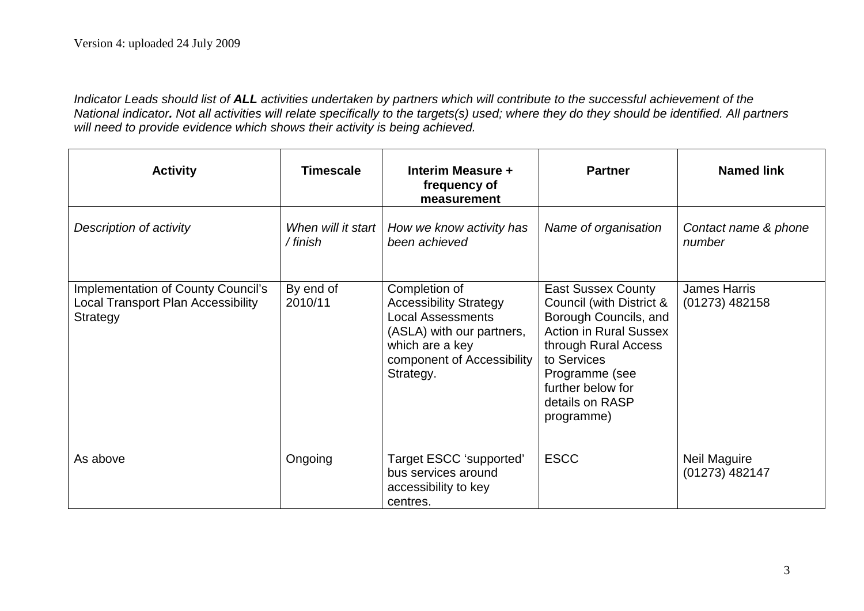*Indicator Leads should list of ALL activities undertaken by partners which will contribute to the successful achievement of the National indicator. Not all activities will relate specifically to the targets(s) used; where they do they should be identified. All partners will need to provide evidence which shows their activity is being achieved.*

| <b>Activity</b>                                                                                    | <b>Timescale</b>               | Interim Measure +<br>frequency of<br>measurement                                                                                                                      | <b>Partner</b>                                                                                                                                                                                                                 | <b>Named link</b>                       |
|----------------------------------------------------------------------------------------------------|--------------------------------|-----------------------------------------------------------------------------------------------------------------------------------------------------------------------|--------------------------------------------------------------------------------------------------------------------------------------------------------------------------------------------------------------------------------|-----------------------------------------|
| Description of activity                                                                            | When will it start<br>/ finish | How we know activity has<br>been achieved                                                                                                                             | Name of organisation                                                                                                                                                                                                           | Contact name & phone<br>number          |
| <b>Implementation of County Council's</b><br><b>Local Transport Plan Accessibility</b><br>Strategy | By end of<br>2010/11           | Completion of<br><b>Accessibility Strategy</b><br><b>Local Assessments</b><br>(ASLA) with our partners,<br>which are a key<br>component of Accessibility<br>Strategy. | <b>East Sussex County</b><br>Council (with District &<br>Borough Councils, and<br><b>Action in Rural Sussex</b><br>through Rural Access<br>to Services<br>Programme (see<br>further below for<br>details on RASP<br>programme) | <b>James Harris</b><br>$(01273)$ 482158 |
| As above                                                                                           | Ongoing                        | Target ESCC 'supported'<br>bus services around<br>accessibility to key<br>centres.                                                                                    | <b>ESCC</b>                                                                                                                                                                                                                    | Neil Maguire<br>(01273) 482147          |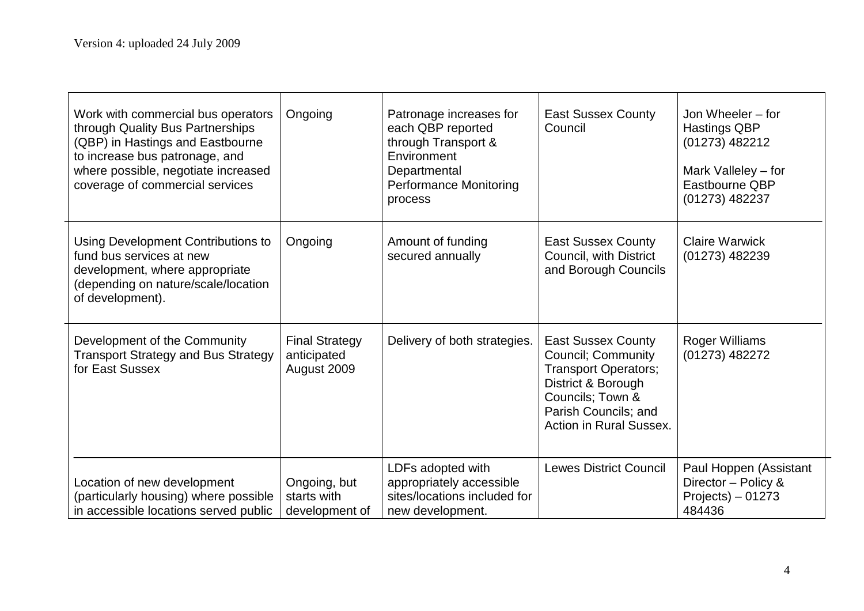| Work with commercial bus operators<br>through Quality Bus Partnerships<br>(QBP) in Hastings and Eastbourne                                                  | Ongoing                                             | Patronage increases for<br>each QBP reported<br>through Transport &                               | <b>East Sussex County</b><br>Council                                                                                                                                                      | Jon Wheeler – for<br><b>Hastings QBP</b><br>(01273) 482212                     |
|-------------------------------------------------------------------------------------------------------------------------------------------------------------|-----------------------------------------------------|---------------------------------------------------------------------------------------------------|-------------------------------------------------------------------------------------------------------------------------------------------------------------------------------------------|--------------------------------------------------------------------------------|
| to increase bus patronage, and<br>where possible, negotiate increased<br>coverage of commercial services                                                    |                                                     | Environment<br>Departmental<br><b>Performance Monitoring</b><br>process                           |                                                                                                                                                                                           | Mark Valleley – for<br>Eastbourne QBP<br>(01273) 482237                        |
| Using Development Contributions to<br>fund bus services at new<br>development, where appropriate<br>(depending on nature/scale/location<br>of development). | Ongoing                                             | Amount of funding<br>secured annually                                                             | <b>East Sussex County</b><br>Council, with District<br>and Borough Councils                                                                                                               | <b>Claire Warwick</b><br>$(01273)$ 482239                                      |
| Development of the Community<br><b>Transport Strategy and Bus Strategy</b><br>for East Sussex                                                               | <b>Final Strategy</b><br>anticipated<br>August 2009 | Delivery of both strategies.                                                                      | <b>East Sussex County</b><br><b>Council; Community</b><br><b>Transport Operators;</b><br>District & Borough<br>Councils; Town &<br>Parish Councils; and<br><b>Action in Rural Sussex.</b> | Roger Williams<br>(01273) 482272                                               |
| Location of new development<br>(particularly housing) where possible<br>in accessible locations served public                                               | Ongoing, but<br>starts with<br>development of       | LDFs adopted with<br>appropriately accessible<br>sites/locations included for<br>new development. | <b>Lewes District Council</b>                                                                                                                                                             | Paul Hoppen (Assistant<br>Director - Policy &<br>$Projects) - 01273$<br>484436 |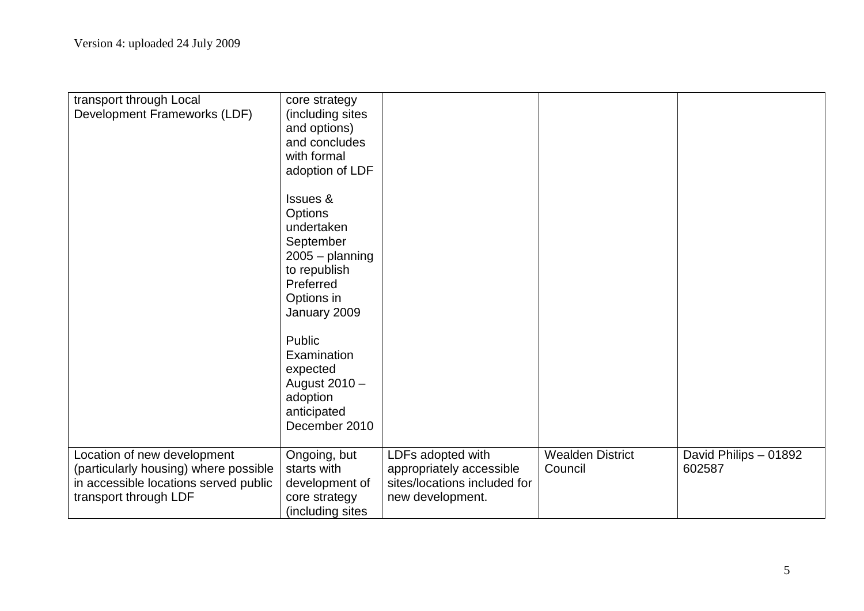| transport through Local<br>Development Frameworks (LDF)                                                                                | core strategy<br>(including sites<br>and options)<br>and concludes<br>with formal<br>adoption of LDF<br><b>Issues &amp;</b><br><b>Options</b><br>undertaken<br>September<br>$2005 -$ planning<br>to republish<br>Preferred<br>Options in<br>January 2009<br>Public<br>Examination<br>expected<br>August 2010 -<br>adoption<br>anticipated<br>December 2010 |                                                                                                   |                                    |                                 |
|----------------------------------------------------------------------------------------------------------------------------------------|------------------------------------------------------------------------------------------------------------------------------------------------------------------------------------------------------------------------------------------------------------------------------------------------------------------------------------------------------------|---------------------------------------------------------------------------------------------------|------------------------------------|---------------------------------|
|                                                                                                                                        |                                                                                                                                                                                                                                                                                                                                                            |                                                                                                   |                                    |                                 |
| Location of new development<br>(particularly housing) where possible<br>in accessible locations served public<br>transport through LDF | Ongoing, but<br>starts with<br>development of<br>core strategy<br>(including sites                                                                                                                                                                                                                                                                         | LDFs adopted with<br>appropriately accessible<br>sites/locations included for<br>new development. | <b>Wealden District</b><br>Council | David Philips - 01892<br>602587 |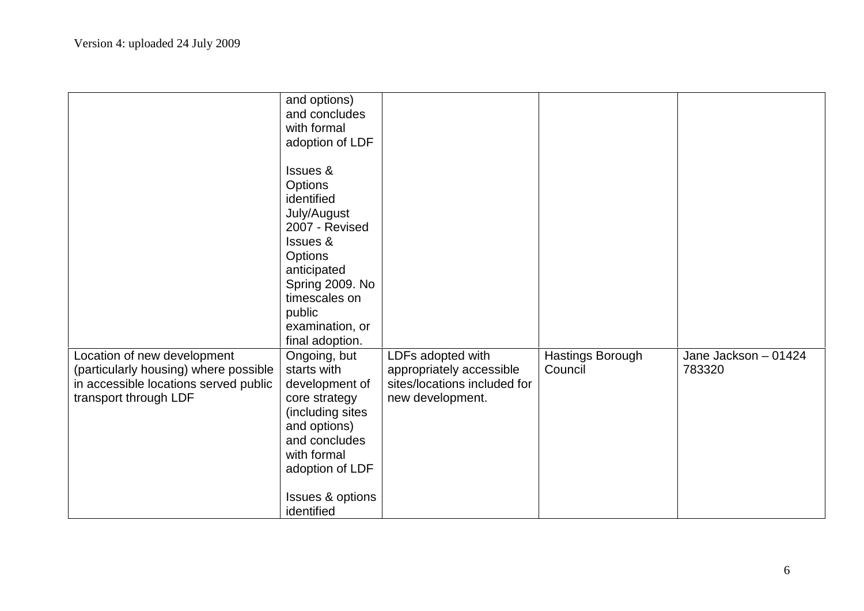|                                                                                                                                        | and options)<br>and concludes<br>with formal<br>adoption of LDF<br><b>Issues &amp;</b><br>Options<br>identified<br>July/August<br>2007 - Revised<br>Issues &<br>Options<br>anticipated<br>Spring 2009. No<br>timescales on<br>public<br>examination, or |                                                                                                   |                             |                                |
|----------------------------------------------------------------------------------------------------------------------------------------|---------------------------------------------------------------------------------------------------------------------------------------------------------------------------------------------------------------------------------------------------------|---------------------------------------------------------------------------------------------------|-----------------------------|--------------------------------|
| Location of new development<br>(particularly housing) where possible<br>in accessible locations served public<br>transport through LDF | final adoption.<br>Ongoing, but<br>starts with<br>development of<br>core strategy<br>(including sites<br>and options)<br>and concludes<br>with formal<br>adoption of LDF<br><b>Issues &amp; options</b><br>identified                                   | LDFs adopted with<br>appropriately accessible<br>sites/locations included for<br>new development. | Hastings Borough<br>Council | Jane Jackson - 01424<br>783320 |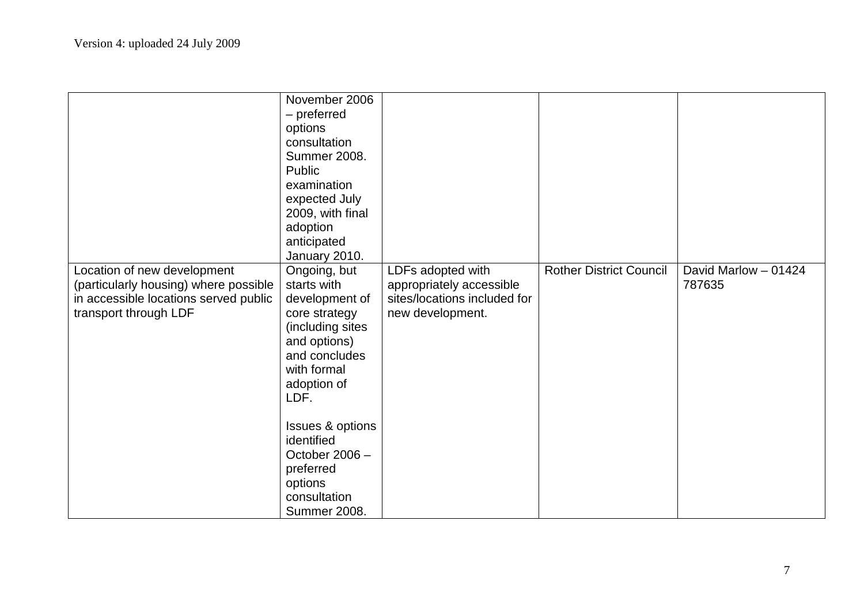|                                                                                                                                        | November 2006<br>- preferred<br>options<br>consultation<br><b>Summer 2008.</b><br>Public<br>examination<br>expected July<br>2009, with final<br>adoption<br>anticipated<br>January 2010.                                                                                         |                                                                                                   |                                |                                |
|----------------------------------------------------------------------------------------------------------------------------------------|----------------------------------------------------------------------------------------------------------------------------------------------------------------------------------------------------------------------------------------------------------------------------------|---------------------------------------------------------------------------------------------------|--------------------------------|--------------------------------|
| Location of new development<br>(particularly housing) where possible<br>in accessible locations served public<br>transport through LDF | Ongoing, but<br>starts with<br>development of<br>core strategy<br>(including sites<br>and options)<br>and concludes<br>with formal<br>adoption of<br>LDF.<br><b>Issues &amp; options</b><br>identified<br>October 2006 -<br>preferred<br>options<br>consultation<br>Summer 2008. | LDFs adopted with<br>appropriately accessible<br>sites/locations included for<br>new development. | <b>Rother District Council</b> | David Marlow - 01424<br>787635 |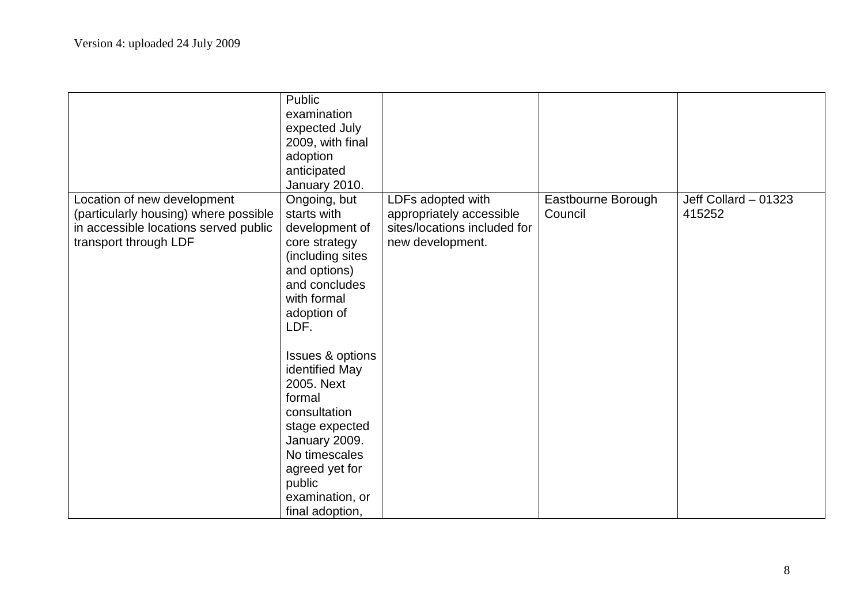|                                                                                                                                        | Public<br>examination<br>expected July<br>2009, with final<br>adoption<br>anticipated<br>January 2010.                                                                                                                                                                                                                                                                   |                                                                                                   |                               |                                |
|----------------------------------------------------------------------------------------------------------------------------------------|--------------------------------------------------------------------------------------------------------------------------------------------------------------------------------------------------------------------------------------------------------------------------------------------------------------------------------------------------------------------------|---------------------------------------------------------------------------------------------------|-------------------------------|--------------------------------|
| Location of new development<br>(particularly housing) where possible<br>in accessible locations served public<br>transport through LDF | Ongoing, but<br>starts with<br>development of<br>core strategy<br>(including sites<br>and options)<br>and concludes<br>with formal<br>adoption of<br>LDF.<br><b>Issues &amp; options</b><br>identified May<br>2005. Next<br>formal<br>consultation<br>stage expected<br>January 2009.<br>No timescales<br>agreed yet for<br>public<br>examination, or<br>final adoption, | LDFs adopted with<br>appropriately accessible<br>sites/locations included for<br>new development. | Eastbourne Borough<br>Council | Jeff Collard - 01323<br>415252 |